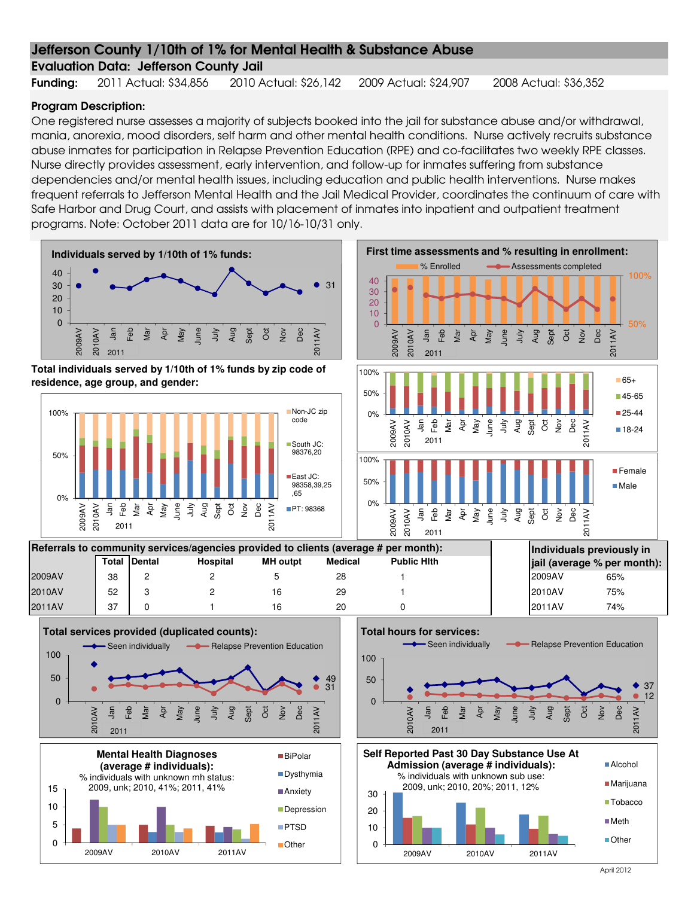### Evaluation Data: Jefferson County Jail

Funding: 2011 Actual: \$34,856 2010 Actual: \$26,142 2009 Actual: \$24,907 2008 Actual: \$36,352

#### Program Description:

One registered nurse assesses a majority of subjects booked into the jail for substance abuse and/or withdrawal, mania, anorexia, mood disorders, self harm and other mental health conditions. Nurse actively recruits substance abuse inmates for participation in Relapse Prevention Education (RPE) and co-facilitates two weekly RPE classes. Nurse directly provides assessment, early intervention, and follow-up for inmates suffering from substance dependencies and/or mental health issues, including education and public health interventions. Nurse makes frequent referrals to Jefferson Mental Health and the Jail Medical Provider, coordinates the continuum of care with Safe Harbor and Drug Court, and assists with placement of inmates into inpatient and outpatient treatment programs. Note: October 2011 data are for 10/16-10/31 only.

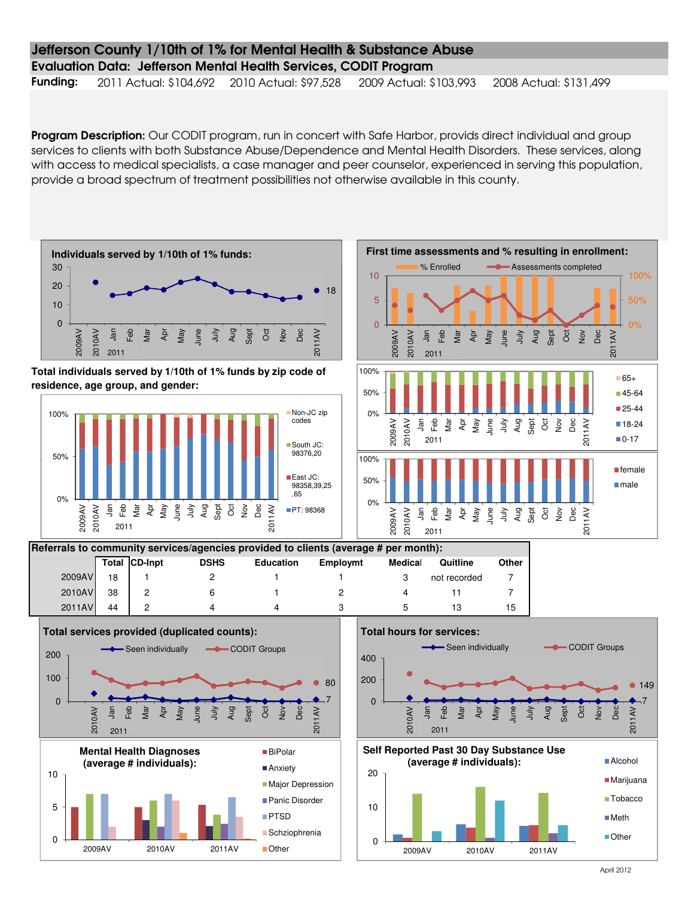#### Evaluation Data: Jefferson Mental Health Services, CODIT Program

Funding: 2011 Actual: \$104,692 2010 Actual: \$97,528 2009 Actual: \$103,993 2008 Actual: \$131,499

Program Description: Our CODIT program, run in concert with Safe Harbor, provids direct individual and group services to clients with both Substance Abuse/Dependence and Mental Health Disorders. These services, along with access to medical specialists, a case manager and peer counselor, experienced in serving this population, provide a broad spectrum of treatment possibilities not otherwise available in this county.

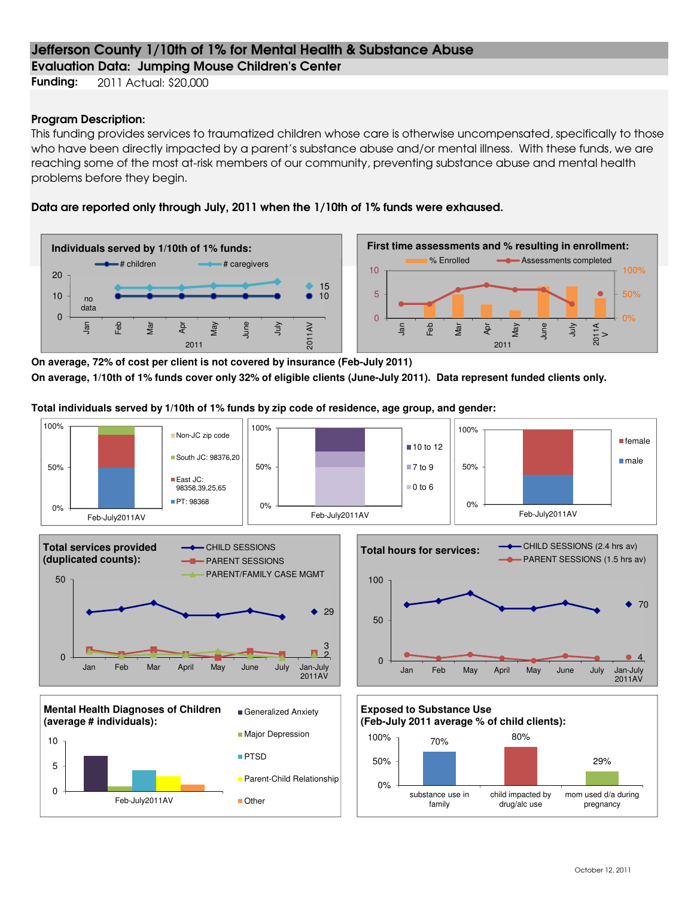Evaluation Data: Jumping Mouse Children's Center

**Funding:** 2011 Actual: \$20,000

#### Program Description:

This funding provides services to traumatized children whose care is otherwise uncompensated, specifically to those who have been directly impacted by a parent's substance abuse and/or mental illness. With these funds, we are reaching some of the most at-risk members of our community, preventing substance abuse and mental health problems before they begin.

#### Data are reported only through July, 2011 when the 1/10th of 1% funds were exhaused.





**On average, 72% of cost per client is not covered by insurance (Feb-July 2011) On average, 1/10th of 1% funds cover only 32% of eligible clients (June-July 2011). Data represent funded clients only.**

**Total individuals served by 1/10th of 1% funds by zip code of residence, age group, and gender:**

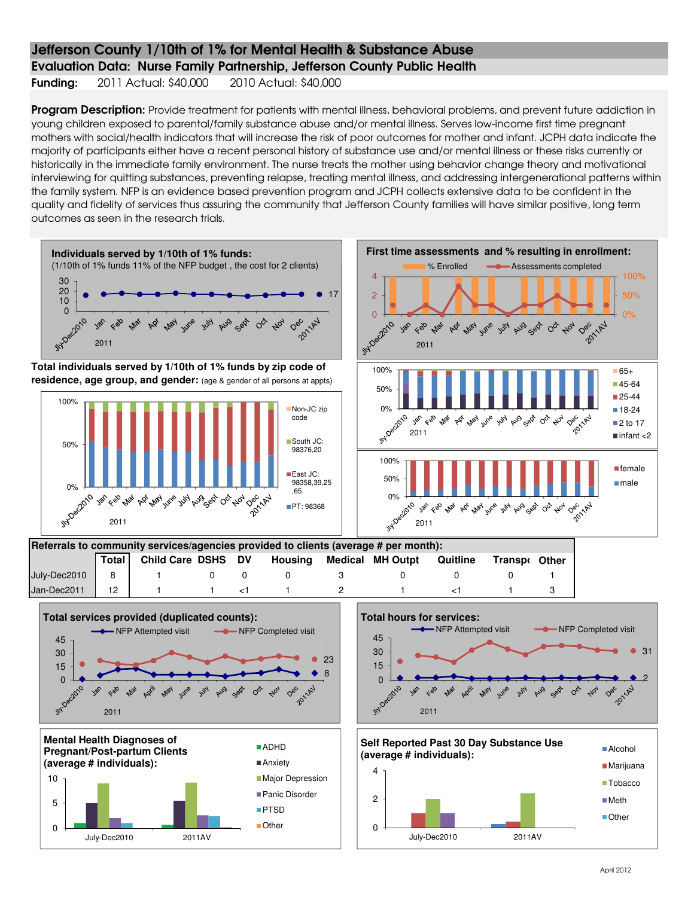#### Evaluation Data: Nurse Family Partnership, Jefferson County Public Health

Funding: 2011 Actual: \$40,000 2010 Actual: \$40,000

Program Description: Provide treatment for patients with mental illness, behavioral problems, and prevent future addiction in young children exposed to parental/family substance abuse and/or mental illness. Serves low-income first time pregnant mothers with social/health indicators that will increase the risk of poor outcomes for mother and infant. JCPH data indicate the majority of participants either have a recent personal history of substance use and/or mental illness or these risks currently or historically in the immediate family environment. The nurse treats the mother using behavior change theory and motivational interviewing for quitting substances, preventing relapse, treating mental illness, and addressing intergenerational patterns within the family system. NFP is an evidence based prevention program and JCPH collects extensive data to be confident in the quality and fidelity of services thus assuring the community that Jefferson County families will have similar positive, long term outcomes as seen in the research trials.

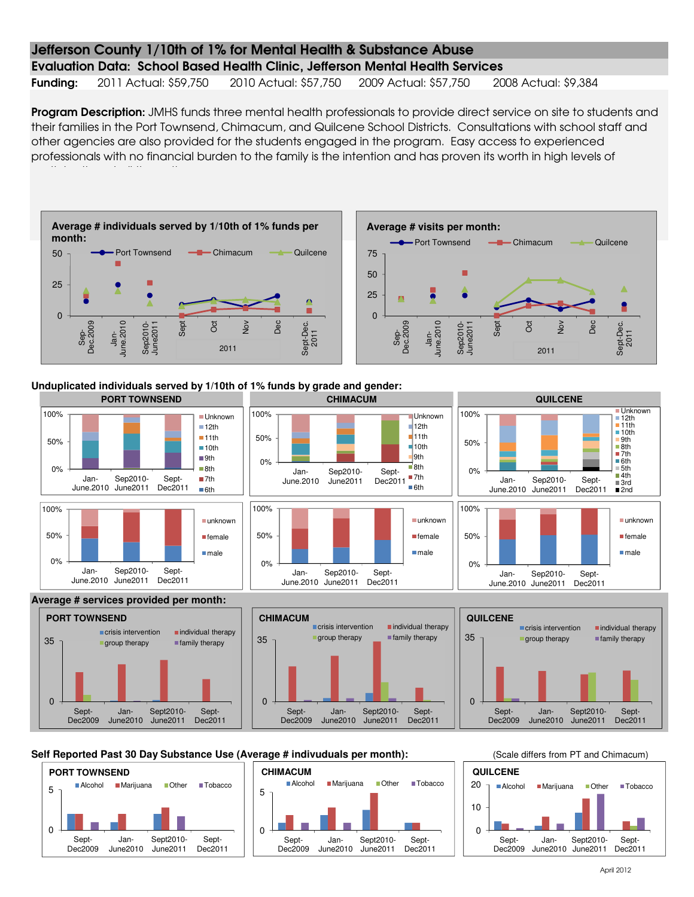#### Evaluation Data: School Based Health Clinic, Jefferson Mental Health Services

Funding: 2011 Actual: \$59,750 2010 Actual: \$57,750 2009 Actual: \$57,750 2008 Actual: \$9,384

Program Description: JMHS funds three mental health professionals to provide direct service on site to students and their families in the Port Townsend, Chimacum, and Quilcene School Districts. Consultations with school staff and other agencies are also provided for the students engaged in the program. Easy access to experienced professionals with no financial burden to the family is the intention and has proven its worth in high levels of





**Unduplicated individuals served by 1/10th of 1% funds by grade and gender:**



#### Self Reported Past 30 Day Substance Use (Average # indivuduals per month): (Scale differs from PT and Chimacum)

Sept-Dec2011  $\Omega$ 

Sept-Dec2009



June2010 June2011

Sept2010-

 $\Omega$ 

Sept-Dec2009 Jan-



Jan-June2010

Sept2010- June2011

Sept-Dec2011  $\Omega$ 

Sept-Dec2009

Sept2010- June2011

Sept-Dec2011

Jan-June2010

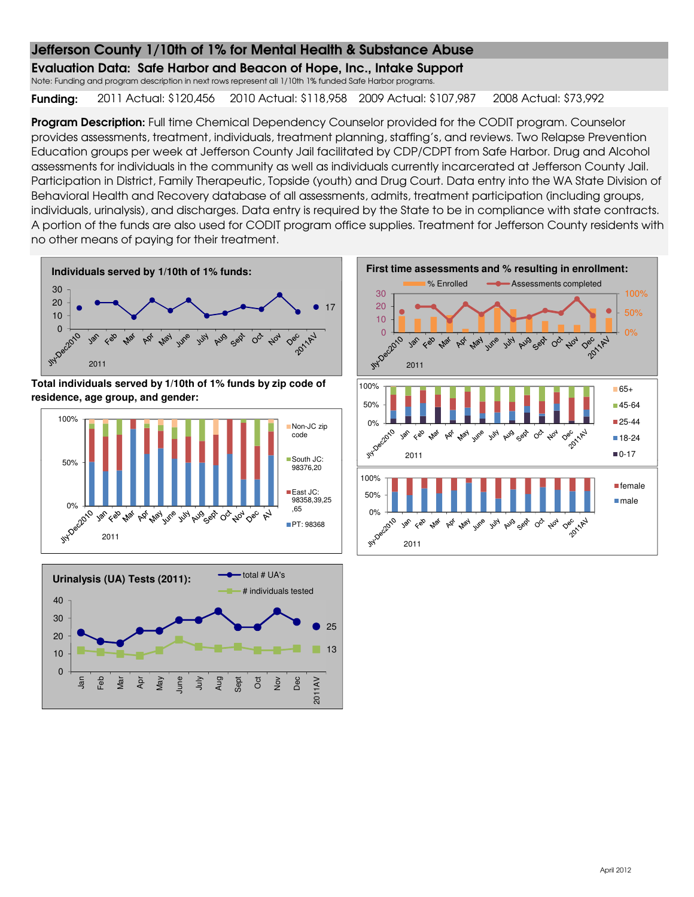Evaluation Data: Safe Harbor and Beacon of Hope, Inc., Intake Support

Note: Funding and program description in next rows represent all 1/10th 1% funded Safe Harbor programs.

Funding: 2011 Actual: \$120,456 2010 Actual: \$118,958 2009 Actual: \$107,987 2008 Actual: \$73,992

Program Description: Full time Chemical Dependency Counselor provided for the CODIT program. Counselor provides assessments, treatment, individuals, treatment planning, staffing's, and reviews. Two Relapse Prevention Education groups per week at Jefferson County Jail facilitated by CDP/CDPT from Safe Harbor. Drug and Alcohol assessments for individuals in the community as well as individuals currently incarcerated at Jefferson County Jail. Participation in District, Family Therapeutic, Topside (youth) and Drug Court. Data entry into the WA State Division of Behavioral Health and Recovery database of all assessments, admits, treatment participation (including groups, individuals, urinalysis), and discharges. Data entry is required by the State to be in compliance with state contracts. A portion of the funds are also used for CODIT program office supplies. Treatment for Jefferson County residents with no other means of paying for their treatment.



**Total individuals served by 1/10th of 1% funds by zip code of residence, age group, and gender:**